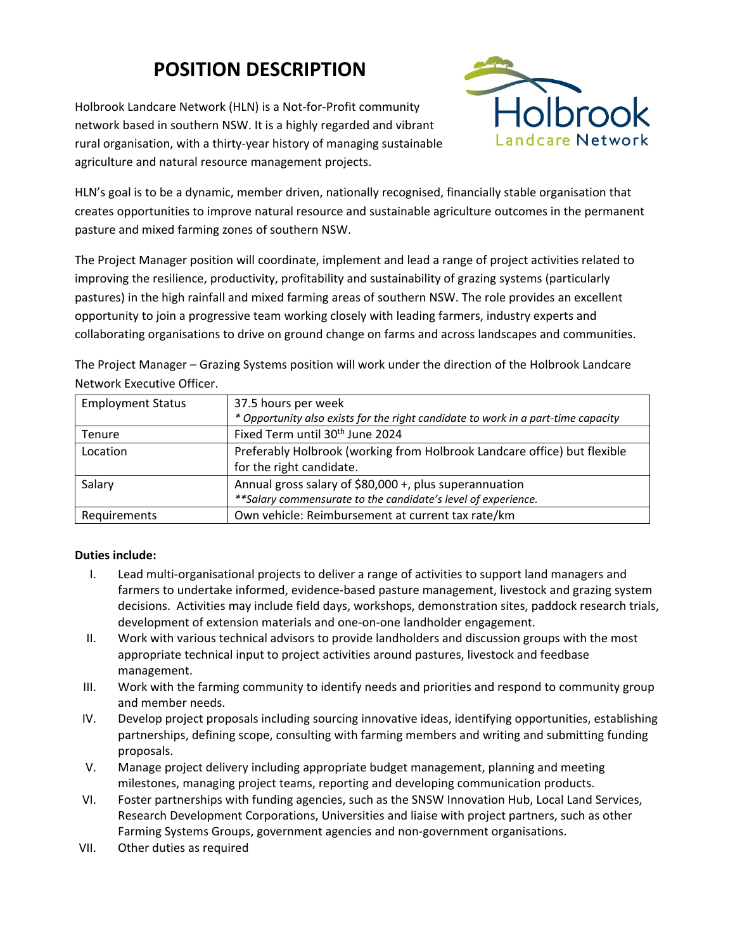# **POSITION DESCRIPTION**

Holbrook Landcare Network (HLN) is a Not‐for‐Profit community network based in southern NSW. It is a highly regarded and vibrant rural organisation, with a thirty‐year history of managing sustainable agriculture and natural resource management projects.



HLN's goal is to be a dynamic, member driven, nationally recognised, financially stable organisation that creates opportunities to improve natural resource and sustainable agriculture outcomes in the permanent pasture and mixed farming zones of southern NSW.

The Project Manager position will coordinate, implement and lead a range of project activities related to improving the resilience, productivity, profitability and sustainability of grazing systems (particularly pastures) in the high rainfall and mixed farming areas of southern NSW. The role provides an excellent opportunity to join a progressive team working closely with leading farmers, industry experts and collaborating organisations to drive on ground change on farms and across landscapes and communities.

The Project Manager – Grazing Systems position will work under the direction of the Holbrook Landcare Network Executive Officer.

| <b>Employment Status</b> | 37.5 hours per week<br>* Opportunity also exists for the right candidate to work in a part-time capacity |
|--------------------------|----------------------------------------------------------------------------------------------------------|
| Tenure                   | Fixed Term until 30 <sup>th</sup> June 2024                                                              |
| Location                 | Preferably Holbrook (working from Holbrook Landcare office) but flexible                                 |
|                          | for the right candidate.                                                                                 |
| Salary                   | Annual gross salary of \$80,000 +, plus superannuation                                                   |
|                          | ** Salary commensurate to the candidate's level of experience.                                           |
| Requirements             | Own vehicle: Reimbursement at current tax rate/km                                                        |

#### **Duties include:**

- I. Lead multi-organisational projects to deliver a range of activities to support land managers and farmers to undertake informed, evidence‐based pasture management, livestock and grazing system decisions. Activities may include field days, workshops, demonstration sites, paddock research trials, development of extension materials and one‐on‐one landholder engagement.
- II. Work with various technical advisors to provide landholders and discussion groups with the most appropriate technical input to project activities around pastures, livestock and feedbase management.
- III. Work with the farming community to identify needs and priorities and respond to community group and member needs.
- IV. Develop project proposals including sourcing innovative ideas, identifying opportunities, establishing partnerships, defining scope, consulting with farming members and writing and submitting funding proposals.
- V. Manage project delivery including appropriate budget management, planning and meeting milestones, managing project teams, reporting and developing communication products.
- VI. Foster partnerships with funding agencies, such as the SNSW Innovation Hub, Local Land Services, Research Development Corporations, Universities and liaise with project partners, such as other Farming Systems Groups, government agencies and non‐government organisations.
- VII. Other duties as required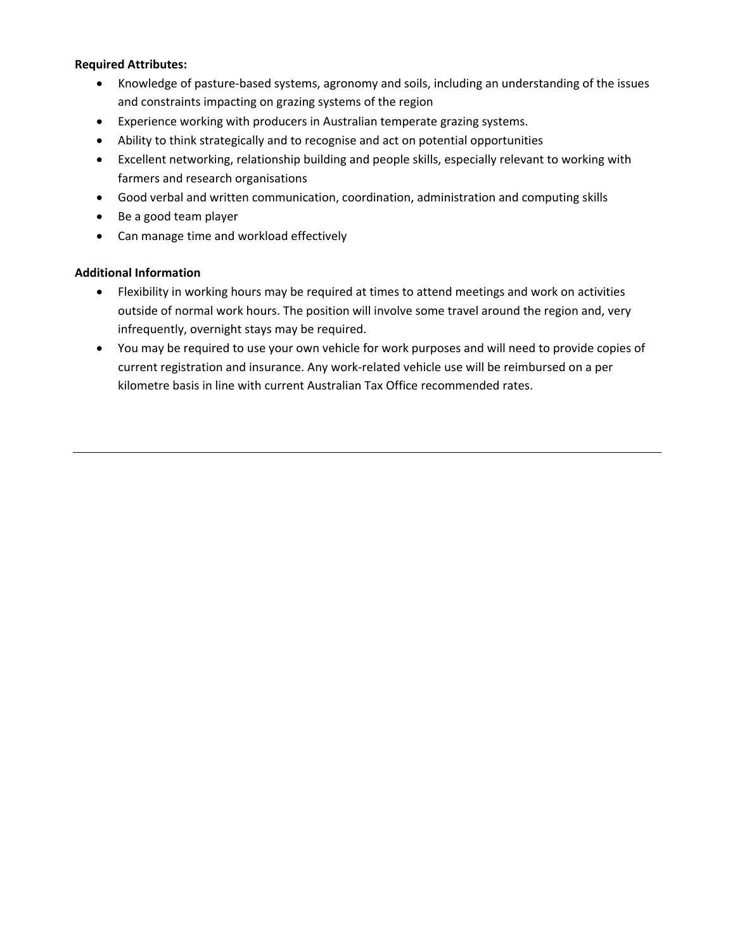#### **Required Attributes:**

- Knowledge of pasture‐based systems, agronomy and soils, including an understanding of the issues and constraints impacting on grazing systems of the region
- Experience working with producers in Australian temperate grazing systems.
- Ability to think strategically and to recognise and act on potential opportunities
- Excellent networking, relationship building and people skills, especially relevant to working with farmers and research organisations
- Good verbal and written communication, coordination, administration and computing skills
- Be a good team player
- Can manage time and workload effectively

### **Additional Information**

- Flexibility in working hours may be required at times to attend meetings and work on activities outside of normal work hours. The position will involve some travel around the region and, very infrequently, overnight stays may be required.
- You may be required to use your own vehicle for work purposes and will need to provide copies of current registration and insurance. Any work‐related vehicle use will be reimbursed on a per kilometre basis in line with current Australian Tax Office recommended rates.